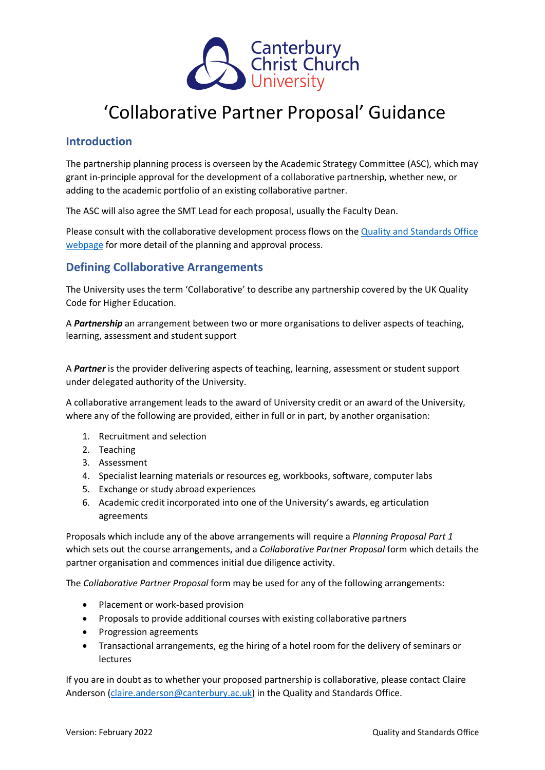

## 'Collaborative Partner Proposal' Guidance

## **Introduction**

The partnership planning process is overseen by the Academic Strategy Committee (ASC), which may grant in-principle approval for the development of a collaborative partnership, whether new, or adding to the academic portfolio of an existing collaborative partner.

The ASC will also agree the SMT Lead for each proposal, usually the Faculty Dean.

Please consult with the collaborative development process flows on the [Quality and Standards Office](https://www.canterbury.ac.uk/quality-and-standards-office/collaborative-provision/dev-and-approval-of-new-collaborative-partnership.aspx)  [webpage](https://www.canterbury.ac.uk/quality-and-standards-office/collaborative-provision/dev-and-approval-of-new-collaborative-partnership.aspx) for more detail of the planning and approval process.

## **Defining Collaborative Arrangements**

The University uses the term 'Collaborative' to describe any partnership covered by the UK Quality Code for Higher Education.

A *Partnership* an arrangement between two or more organisations to deliver aspects of teaching, learning, assessment and student support

A *Partner* is the provider delivering aspects of teaching, learning, assessment or student support under delegated authority of the University.

A collaborative arrangement leads to the award of University credit or an award of the University, where any of the following are provided, either in full or in part, by another organisation:

- 1. Recruitment and selection
- 2. Teaching
- 3. Assessment
- 4. Specialist learning materials or resources eg, workbooks, software, computer labs
- 5. Exchange or study abroad experiences
- 6. Academic credit incorporated into one of the University's awards, eg articulation agreements

Proposals which include any of the above arrangements will require a *Planning Proposal Part 1* which sets out the course arrangements, and a *Collaborative Partner Proposal* form which details the partner organisation and commences initial due diligence activity.

The *Collaborative Partner Proposal* form may be used for any of the following arrangements:

- Placement or work-based provision
- Proposals to provide additional courses with existing collaborative partners
- Progression agreements
- Transactional arrangements, eg the hiring of a hotel room for the delivery of seminars or lectures

If you are in doubt as to whether your proposed partnership is collaborative, please contact Claire Anderson [\(claire.anderson@canterbury.ac.uk\)](mailto:claire.anderson@canterbury.ac.uk) in the Quality and Standards Office.